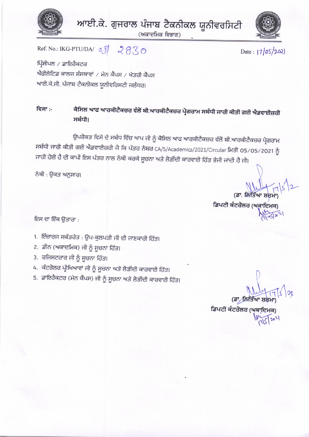

ਆਈ.ਕੇ. ਗੁਜਰਾਲ ਪੰਜਾਬ ਟੈਕਨੀਕਲ ਯੂਨੀਵਰਸਿਟੀ

(ਅਕਾਦਮਿਕ ਵਿਭਾਗ)



Date:  $|7|05|202|$ 

Ref. No.: IKG-PTU/DA/ 08 2830

ਪ੍ਰਿੰਸੀਪਲ / ਡਾਇਰੈਕਟਰ ਐਫੀਲੇਟਿਡ ਕਾਲਜ ਸੰਸਥਾਵਾਂ / ਮੇਨ ਕੈਂਪਸ / ਖੇਤਰੀ ਕੈਂਪਸ ਆਈ.ਕੇ.ਜੀ. ਪੰਜਾਬ ਟੈਕਨੀਕਲ ਯੂਨੀਵਰਿਸਟੀ ਜਲੰਧਰ।

### ਕੈਸਿਲ ਆਫ ਆਰਕੀਟੈਕਚਰ ਵੱਲੋਂ ਬੀ.ਆਰਕੀਟੈਕਚਰ ਪ੍ਰੋਗਰਾਮ ਸਬੰਧੀ ਜਾਰੀ ਕੀਤੀ ਗਈ ਐਡਵਾਈਜ਼ਰੀ ਵਿਸਾ :-ਸਬੰਧੀ।

ਉਪਰੋਕਤ ਵਿਸੇ ਦੇ ਸਬੰਧ ਵਿੱਚ ਆਪ ਜੀ ਨੂੰ ਕੈਸਿਲ ਆਫ ਆਰਕੀਟੈਕਚਰ ਵੱਲੋਂ ਬੀ.ਆਰਕੀਟੈਕਚਰ ਪ੍ਰੋਗਰਾਮ ਸਬੰਧੀ ਜਾਰੀ ਕੀਤੀ ਗਈ ਐਡਵਾਈਜ਼ਰੀ ਜੋ ਕਿ ਪੱਤਰ ਨੰਬਰ CA/5/Academics/2021/Circular ਮਿਤੀ 05/05/2021 ਨੂੰ ਜਾਰੀ ਹੋਈ ਹੈ ਦੀ ਕਾਪੀ ਇਸ ਪੱਤਰ ਨਾਲ ਨੱਥੀ ਕਰਕੇ ਸੂਚਨਾ ਅਤੇ ਲੋੜੀਂਦੀ ਕਾਰਵਾਈ ਹਿੱਤ ਭੇਜੀ ਜਾਂਦੀ ਹੈ ਜੀ।

ਨੱਥੀ : ਉਕਤ ਅਨੁਸਾਰ।

(ਡਾ. ਲਿਤਿਆ ਸ਼ਰਮ

ਡਿਪਟੀ ਕੰਟਰੋਲਰ (ਅਕਾਦਿਮਕ

ਇਸ ਦਾ ਇੱਕ ਉਤਾਰਾ :

- 1. ਇੰਚਾਰਜ ਸਕੱਤਰੇਤ : ਉਪ-ਕੁਲਪਤੀ ਜੀ ਦੀ ਜਾਣਕਾਰੀ ਹਿੱਤ।
- 2. ਡੀਨ (ਅਕਾਦਮਿਕ) ਜੀ ਨੂੰ ਸੂਚਨਾ ਹਿੱਤ।
- 3. ਰਜਿਸਟਰਾਰ ਜੀ ਨੂੰ ਸੂਚਨਾ ਹਿੱਤ।
- 4. ਕੰਟਰੋਲਰ ਪ੍ਰੀਖਿਆਵਾਂ ਜੀ ਨੂੰ ਸੂਚਨਾ ਅਤੇ ਲੋੜੀਂਦੀ ਕਾਰਵਾਈ ਹਿੱਤ।
- 5. ਡਾਇਰੈਕਟਰ (ਮੇਨ ਕੈਂਪਸ) ਜੀ ਨੂੰ ਸੂਚਨਾ ਅਤੇ ਲੋੜੀਂਦੀ ਕਾਰਵਾਈ ਹਿੱਤ।

ਡਿਪਟੀ ਕੰਟਰੋਲਰ (ਅਕਾ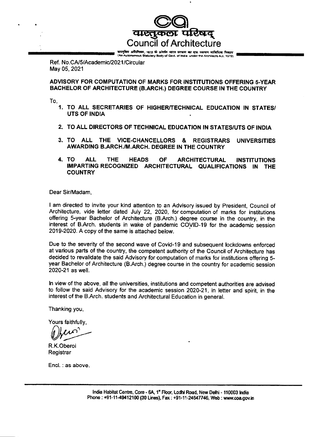**alectorol** Council of Architecture

बास्तुबिर अधिन्त्रिय, 1972 के अंतर्फ़ा मात सरकार का एक स्वायत सांविधिक निकाय<br>(An Autonomous Statutory Body of Gost, of India, under the Architects & 1.1972) {'rvtAdaryE& S\*b'r Brdt of €qrt .n bd. ura.r !e A,ErtEt. A-i1. t9?2r

Ref. No.CA/5/Academic/2021/Circular May Q5,2021

ADVISORY FOR COMPUTATION OF MARKS FOR INSTITUTIONS OFFERING s-YEAR BACHELOR OF ARCHITECTURE (B.ARCH.) DEGREE COURSE IN THE COUNTRY

to.

- 1. TO ALL SECRETARIES OF HIGHER/TECHNICAL EDUCATION IN STATES/ UTS OF INDIA
- TO ALL DIRECTORS OF TEGHNICAL EDUCATION IN STATES/UTS OF INDIA 2.
- 3. TO ALL THE VICE-CHANCELLORS & REGISTRARS UNIVERSITIES AWARDING B.ARCH./M.ARCH. DEGREE IN THE COUNTRY
- TO ALL THE HEADS OF ARCHITECTURAL INSTITUTIONS IMPARTINGRECOGNIZED ARCHITECTURAL QUALIFICATIONS IN THE **COUNTRY** 4.

Dear Sir/Madam,

I am directed to invite your kind attention to an Advisory issued by President, Council of Architecture, vide letter dated July 22, 2020, for computation of marks for institutions offering S-year Bachelor of Architecture (B.Arch.) degree course in the country, in the interest of B.Arch. students in wake of pandemic COVID-19 for the academic session 2019-2020. A copy of the same is attached below.

Due to the severity of the second wave of Covid-19 and subsequent lockdowns enforced at various parts of the country, the competent authority of the Council of Architecture has decided to revalidate the said Advisory for computation of marks for institutions offering 5 year Bachelor of Architecture (B.Arch.) degree course in the country for academic session 2O2Q-21 as well.

In view of the above, all the universities, institutions and competent authorities are advised to follow the said Advisory for the academic session 2020-21, in letter and spirit, in the interest of the B.Arch. students and Architectural Education in general.

Thanking you,

Yours faithfully,

Obein

R.K.Oberoi Registrar

Encl. : as above.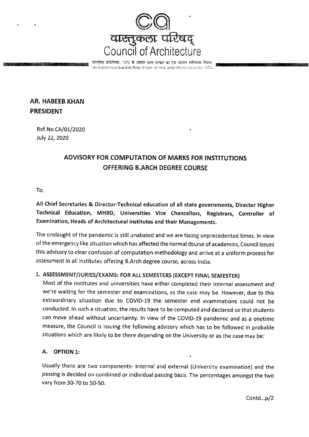

तासुबिद अधिनियम, 1972 के अंतर्गत भारत मरकार का एक स्वायत मांविधिक निकाय An Autonomous Statutory Body of Govt, of India, under the Architects Act, 1972)

# **AR. HABEEB KHAN PRESIDENT**

Ref.No.CA/01/2020 July 22, 2020

# ADVISORY FOR COMPUTATION OF MARKS FOR INSTITUTIONS **OFFERING B.ARCH DEGREE COURSE**

To.

All Chief Secretaries & Director-Technical education of all state governments, Director Higher Technical Education, MHRD, Universities Vice Chancellors, Registrars, Controller of Examination, Heads of Architectural institutes and their Managements.

The onslaught of the pandemic is still unabated and we are facing unprecedented times. In view of the emergency like situation which has affected the normal course of academics, Council issues this advisory to clear confusion of computation methodology and arrive at a uniform process for assessment in all institutes offering B.Arch degree course, across India.

## 1. ASSESSMENT/JURIES/EXAMS: FOR ALL SEMESTERS (EXCEPT FINAL SEMESTER)

Most of the institutes and universities have either completed their internal assessment and we're waiting for the semester end examinations, as the case may be. However, due to this extraordinary situation due to COVID-19 the semester end examinations could not be conducted. In such a situation, the results have to be computed and declared so that students can move ahead without uncertainty. In view of the COVID-19 pandemic and as a onetime measure, the Council is issuing the following advisory which has to be followed in probable situations which are likely to be there depending on the University or as the case may be:

#### А. **OPTION 1:**

Usually there are two components- Internal and external (University examination) and the passing is decided on combined or individual passing basis. The percentages amongst the two vary from 30-70 to 50-50.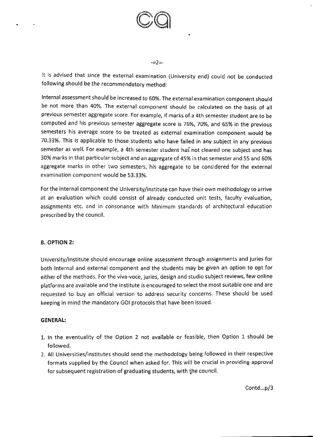

 $-z = 2 = -$ 

It is advised that since the external examination (University end) could not be conducted following should be the recommendatory method:

Internal assessment should be increased to 60%. The external examination component should be not more than 4o%. The external component should be calculated on the basis of all previous semester aggregate score. For example, if marks of a 4th semester student are to be computed and his previous semester aggregate score is 76%, 70%, and 65% in the previous semesters his average score to be treated as external examination component would be 70.33%. This is applicable to those students who have failed in any subject in any previous semester as well. For example, a 4th semester student has not cleared one subject and has 30% marks in that particular subject and an aggregate of 45% in that semester and 55 and GO% aggregate marks in other two semesters, his aggregate to be considered for the external examination component would be 53.33%.

For the internal component the University/institute can have their own methodology to arrive at an evaluation which could consist of already conducted unit tests, faculty evaluation, assignments etc. and in consonance with Minimum standards of architectural education prescribed by the council.

## B. OPTION 2:

<sup>U</sup>niversity/lnstitute should encourage online assessment through assignments and juries for both lnternal and external component and the students may be given an option to opt for either of the methods. For the viva-voce, juries, design and studio subject reviews, few online platforms are available and the institute is encouraged to select the most suitable one and are requested to buy an official version to address security concerns. These should be used keeping in mind the mandatory GOI protocols that have been issued.

### GENERAL:

- 1. In the eventuality of the Option 2 not available or feasible, then Option 1 should be followed.
- 2. All Universities/institutes should send the methodology being followed in their respective formats supplied by the Council when asked for. This will be crucial in providing approval for subsequent registration of graduating students, with the council.

contd...p/3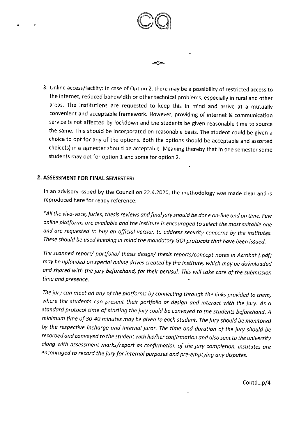

 $\widehat{\mathscr{O}}$ 

 $\bigcirc$ 

-=3=-

## 2. ASSESSMENT FOR FINAL SEMESTER:

ln an advisory issued by the council on ?2.4.202o, the methodology was made clear and is reproduced here for ready reference;

"All the vivo-voce, juries, thesis rcviews and finoljury should be done on-line ond on time. Few online plotforms are ovailable ond the institute is encouraged to select the most suitoble one and are requested to buy an official version to address security concerns by the institutes. These should be used keeping in mind the mandatory GOI protocols that have been issued.

The sconned report/ portfolio/ thesis design/ thesis reports/concept notes in Acrobat (.pdf) moy be uploaded on speciol online drives creoted by the institute, which may be downloaded ond shored with the jury beforehond, for their perusol. This will toke care of the submission time and presence,  $\overline{\phantom{a}}$  .

The jury can meet on any of the platforms by connecting through the links provided to them, where the students can present their portfolio or design and interact with the jury. As a standard protocol time of starting the jury could be conveyed to the students beforehand. A minimum time of 30-40 minutes may be given to eoch student. The jury should be monitored by the respective incharge and internal juror. The time and duration of the jury should be recorded and conveyed to the student with his/her confirmation and also sent to the university olong with ossessment morks/report as confirmation of the jury completion. lnstitutes ore encouraged to record the jury for internal purposes ond pre\_emptying any disputes.

Contd...p/4